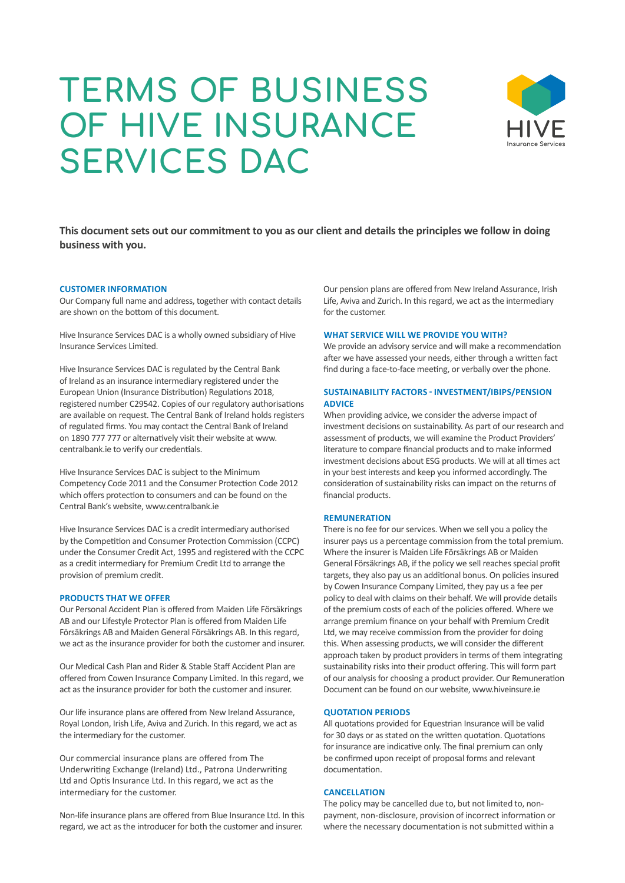# **TERMS OF BUSINESS OF HIVE INSURANCE SERVICES DAC**



**This document sets out our commitment to you as our client and details the principles we follow in doing business with you.**

### **CUSTOMER INFORMATION**

Our Company full name and address, together with contact details are shown on the bottom of this document.

Hive Insurance Services DAC is a wholly owned subsidiary of Hive Insurance Services Limited.

Hive Insurance Services DAC is regulated by the Central Bank of Ireland as an insurance intermediary registered under the European Union (Insurance Distribution) Regulations 2018, registered number C29542. Copies of our regulatory authorisations are available on request. The Central Bank of Ireland holds registers of regulated firms. You may contact the Central Bank of Ireland on 1890 777 777 or alternatively visit their website at www. centralbank.ie to verify our credentials.

Hive Insurance Services DAC is subject to the Minimum Competency Code 2011 and the Consumer Protection Code 2012 which offers protection to consumers and can be found on the Central Bank's website, www.centralbank.ie

Hive Insurance Services DAC is a credit intermediary authorised by the Competition and Consumer Protection Commission (CCPC) under the Consumer Credit Act, 1995 and registered with the CCPC as a credit intermediary for Premium Credit Ltd to arrange the provision of premium credit.

#### **PRODUCTS THAT WE OFFER**

Our Personal Accident Plan is offered from Maiden Life Försäkrings AB and our Lifestyle Protector Plan is offered from Maiden Life Försäkrings AB and Maiden General Försäkrings AB. In this regard, we act as the insurance provider for both the customer and insurer.

Our Medical Cash Plan and Rider & Stable Staff Accident Plan are offered from Cowen Insurance Company Limited. In this regard, we act as the insurance provider for both the customer and insurer.

Our life insurance plans are offered from New Ireland Assurance, Royal London, Irish Life, Aviva and Zurich. In this regard, we act as the intermediary for the customer.

Our commercial insurance plans are offered from The Underwriting Exchange (Ireland) Ltd., Patrona Underwriting Ltd and Optis Insurance Ltd. In this regard, we act as the intermediary for the customer.

Non-life insurance plans are offered from Blue Insurance Ltd. In this regard, we act as the introducer for both the customer and insurer.

Our pension plans are offered from New Ireland Assurance, Irish Life, Aviva and Zurich. In this regard, we act as the intermediary for the customer.

# **WHAT SERVICE WILL WE PROVIDE YOU WITH?**

We provide an advisory service and will make a recommendation after we have assessed your needs, either through a written fact find during a face-to-face meeting, or verbally over the phone.

## **SUSTAINABILITY FACTORS - INVESTMENT/IBIPS/PENSION ADVICE**

When providing advice, we consider the adverse impact of investment decisions on sustainability. As part of our research and assessment of products, we will examine the Product Providers' literature to compare financial products and to make informed investment decisions about ESG products. We will at all times act in your best interests and keep you informed accordingly. The consideration of sustainability risks can impact on the returns of financial products.

### **REMUNERATION**

There is no fee for our services. When we sell you a policy the insurer pays us a percentage commission from the total premium. Where the insurer is Maiden Life Försäkrings AB or Maiden General Försäkrings AB, if the policy we sell reaches special profit targets, they also pay us an additional bonus. On policies insured by Cowen Insurance Company Limited, they pay us a fee per policy to deal with claims on their behalf. We will provide details of the premium costs of each of the policies offered. Where we arrange premium finance on your behalf with Premium Credit Ltd, we may receive commission from the provider for doing this. When assessing products, we will consider the different approach taken by product providers in terms of them integrating sustainability risks into their product offering. This will form part of our analysis for choosing a product provider. Our Remuneration Document can be found on our website, www.hiveinsure.ie

## **QUOTATION PERIODS**

All quotations provided for Equestrian Insurance will be valid for 30 days or as stated on the written quotation. Quotations for insurance are indicative only. The final premium can only be confirmed upon receipt of proposal forms and relevant documentation.

## **CANCELLATION**

The policy may be cancelled due to, but not limited to, nonpayment, non-disclosure, provision of incorrect information or where the necessary documentation is not submitted within a